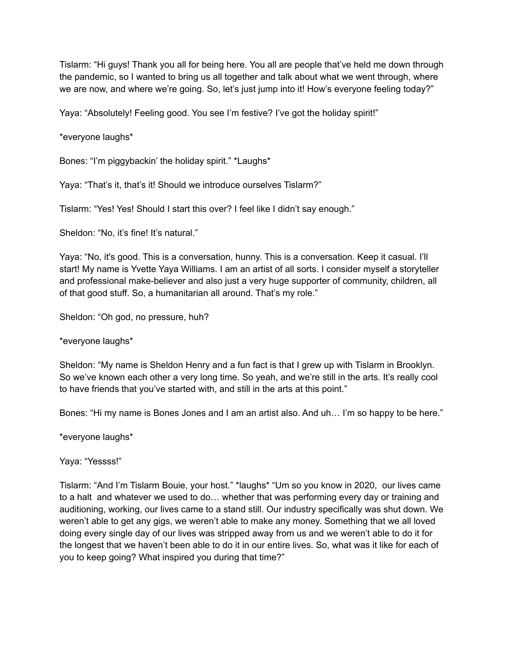Tislarm: "Hi guys! Thank you all for being here. You all are people that've held me down through the pandemic, so I wanted to bring us all together and talk about what we went through, where we are now, and where we're going. So, let's just jump into it! How's everyone feeling today?"

Yaya: "Absolutely! Feeling good. You see I'm festive? I've got the holiday spirit!"

\*everyone laughs\*

Bones: "I'm piggybackin' the holiday spirit." \*Laughs\*

Yaya: "That's it, that's it! Should we introduce ourselves Tislarm?"

Tislarm: "Yes! Yes! Should I start this over? I feel like I didn't say enough."

Sheldon: "No, it's fine! It's natural."

Yaya: "No, it's good. This is a conversation, hunny. This is a conversation. Keep it casual. I'll start! My name is Yvette Yaya Williams. I am an artist of all sorts. I consider myself a storyteller and professional make-believer and also just a very huge supporter of community, children, all of that good stuff. So, a humanitarian all around. That's my role."

Sheldon: "Oh god, no pressure, huh?

\*everyone laughs\*

Sheldon: "My name is Sheldon Henry and a fun fact is that I grew up with Tislarm in Brooklyn. So we've known each other a very long time. So yeah, and we're still in the arts. It's really cool to have friends that you've started with, and still in the arts at this point."

Bones: "Hi my name is Bones Jones and I am an artist also. And uh… I'm so happy to be here."

\*everyone laughs\*

Yaya: "Yessss!"

Tislarm: "And I'm Tislarm Bouie, your host." \*laughs\* "Um so you know in 2020, our lives came to a halt and whatever we used to do… whether that was performing every day or training and auditioning, working, our lives came to a stand still. Our industry specifically was shut down. We weren't able to get any gigs, we weren't able to make any money. Something that we all loved doing every single day of our lives was stripped away from us and we weren't able to do it for the longest that we haven't been able to do it in our entire lives. So, what was it like for each of you to keep going? What inspired you during that time?"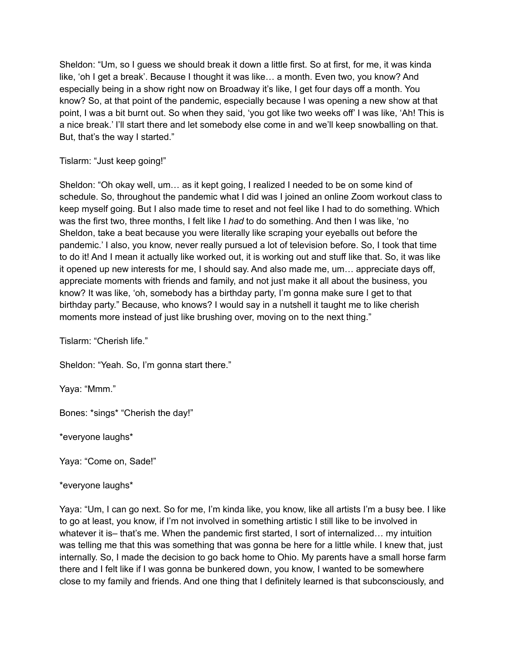Sheldon: "Um, so I guess we should break it down a little first. So at first, for me, it was kinda like, 'oh I get a break'. Because I thought it was like… a month. Even two, you know? And especially being in a show right now on Broadway it's like, I get four days off a month. You know? So, at that point of the pandemic, especially because I was opening a new show at that point, I was a bit burnt out. So when they said, 'you got like two weeks off' I was like, 'Ah! This is a nice break.' I'll start there and let somebody else come in and we'll keep snowballing on that. But, that's the way I started."

Tislarm: "Just keep going!"

Sheldon: "Oh okay well, um… as it kept going, I realized I needed to be on some kind of schedule. So, throughout the pandemic what I did was I joined an online Zoom workout class to keep myself going. But I also made time to reset and not feel like I had to do something. Which was the first two, three months, I felt like I *had* to do something. And then I was like, 'no Sheldon, take a beat because you were literally like scraping your eyeballs out before the pandemic.' I also, you know, never really pursued a lot of television before. So, I took that time to do it! And I mean it actually like worked out, it is working out and stuff like that. So, it was like it opened up new interests for me, I should say. And also made me, um… appreciate days off, appreciate moments with friends and family, and not just make it all about the business, you know? It was like, 'oh, somebody has a birthday party, I'm gonna make sure I get to that birthday party." Because, who knows? I would say in a nutshell it taught me to like cherish moments more instead of just like brushing over, moving on to the next thing."

Tislarm: "Cherish life."

Sheldon: "Yeah. So, I'm gonna start there."

Yaya: "Mmm."

Bones: \*sings\* "Cherish the day!"

\*everyone laughs\*

Yaya: "Come on, Sade!"

\*everyone laughs\*

Yaya: "Um, I can go next. So for me, I'm kinda like, you know, like all artists I'm a busy bee. I like to go at least, you know, if I'm not involved in something artistic I still like to be involved in whatever it is– that's me. When the pandemic first started, I sort of internalized... my intuition was telling me that this was something that was gonna be here for a little while. I knew that, just internally. So, I made the decision to go back home to Ohio. My parents have a small horse farm there and I felt like if I was gonna be bunkered down, you know, I wanted to be somewhere close to my family and friends. And one thing that I definitely learned is that subconsciously, and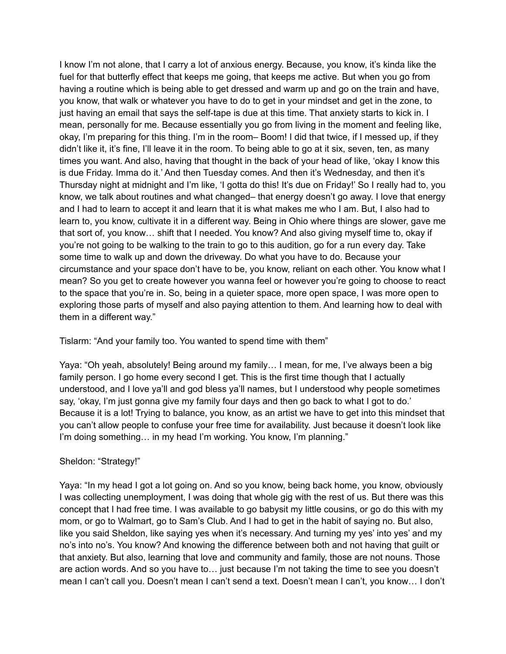I know I'm not alone, that I carry a lot of anxious energy. Because, you know, it's kinda like the fuel for that butterfly effect that keeps me going, that keeps me active. But when you go from having a routine which is being able to get dressed and warm up and go on the train and have, you know, that walk or whatever you have to do to get in your mindset and get in the zone, to just having an email that says the self-tape is due at this time. That anxiety starts to kick in. I mean, personally for me. Because essentially you go from living in the moment and feeling like, okay, I'm preparing for this thing. I'm in the room– Boom! I did that twice, if I messed up, if they didn't like it, it's fine, I'll leave it in the room. To being able to go at it six, seven, ten, as many times you want. And also, having that thought in the back of your head of like, 'okay I know this is due Friday. Imma do it.' And then Tuesday comes. And then it's Wednesday, and then it's Thursday night at midnight and I'm like, 'I gotta do this! It's due on Friday!' So I really had to, you know, we talk about routines and what changed– that energy doesn't go away. I love that energy and I had to learn to accept it and learn that it is what makes me who I am. But, I also had to learn to, you know, cultivate it in a different way. Being in Ohio where things are slower, gave me that sort of, you know… shift that I needed. You know? And also giving myself time to, okay if you're not going to be walking to the train to go to this audition, go for a run every day. Take some time to walk up and down the driveway. Do what you have to do. Because your circumstance and your space don't have to be, you know, reliant on each other. You know what I mean? So you get to create however you wanna feel or however you're going to choose to react to the space that you're in. So, being in a quieter space, more open space, I was more open to exploring those parts of myself and also paying attention to them. And learning how to deal with them in a different way."

Tislarm: "And your family too. You wanted to spend time with them"

Yaya: "Oh yeah, absolutely! Being around my family… I mean, for me, I've always been a big family person. I go home every second I get. This is the first time though that I actually understood, and I love ya'll and god bless ya'll names, but I understood why people sometimes say, 'okay, I'm just gonna give my family four days and then go back to what I got to do.' Because it is a lot! Trying to balance, you know, as an artist we have to get into this mindset that you can't allow people to confuse your free time for availability. Just because it doesn't look like I'm doing something... in my head I'm working. You know, I'm planning."

# Sheldon: "Strategy!"

Yaya: "In my head I got a lot going on. And so you know, being back home, you know, obviously I was collecting unemployment, I was doing that whole gig with the rest of us. But there was this concept that I had free time. I was available to go babysit my little cousins, or go do this with my mom, or go to Walmart, go to Sam's Club. And I had to get in the habit of saying no. But also, like you said Sheldon, like saying yes when it's necessary. And turning my yes' into yes' and my no's into no's. You know? And knowing the difference between both and not having that guilt or that anxiety. But also, learning that love and community and family, those are not nouns. Those are action words. And so you have to… just because I'm not taking the time to see you doesn't mean I can't call you. Doesn't mean I can't send a text. Doesn't mean I can't, you know… I don't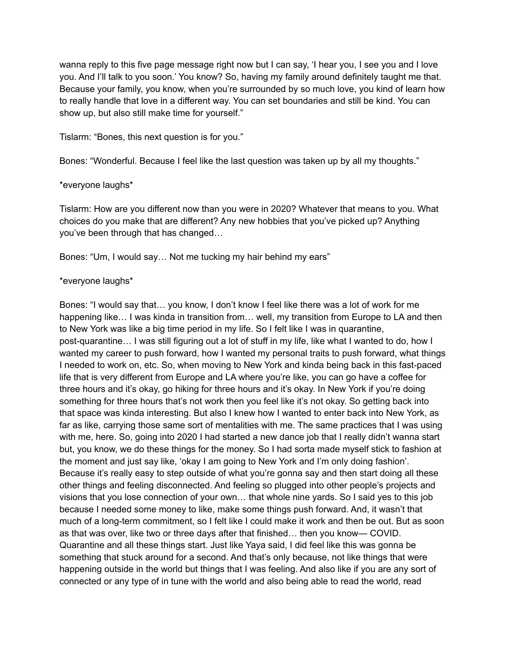wanna reply to this five page message right now but I can say, 'I hear you, I see you and I love you. And I'll talk to you soon.' You know? So, having my family around definitely taught me that. Because your family, you know, when you're surrounded by so much love, you kind of learn how to really handle that love in a different way. You can set boundaries and still be kind. You can show up, but also still make time for yourself."

Tislarm: "Bones, this next question is for you."

Bones: "Wonderful. Because I feel like the last question was taken up by all my thoughts."

## \*everyone laughs\*

Tislarm: How are you different now than you were in 2020? Whatever that means to you. What choices do you make that are different? Any new hobbies that you've picked up? Anything you've been through that has changed…

Bones: "Um, I would say… Not me tucking my hair behind my ears"

## \*everyone laughs\*

Bones: "I would say that… you know, I don't know I feel like there was a lot of work for me happening like... I was kinda in transition from... well, my transition from Europe to LA and then to New York was like a big time period in my life. So I felt like I was in quarantine, post-quarantine… I was still figuring out a lot of stuff in my life, like what I wanted to do, how I wanted my career to push forward, how I wanted my personal traits to push forward, what things I needed to work on, etc. So, when moving to New York and kinda being back in this fast-paced life that is very different from Europe and LA where you're like, you can go have a coffee for three hours and it's okay, go hiking for three hours and it's okay. In New York if you're doing something for three hours that's not work then you feel like it's not okay. So getting back into that space was kinda interesting. But also I knew how I wanted to enter back into New York, as far as like, carrying those same sort of mentalities with me. The same practices that I was using with me, here. So, going into 2020 I had started a new dance job that I really didn't wanna start but, you know, we do these things for the money. So I had sorta made myself stick to fashion at the moment and just say like, 'okay I am going to New York and I'm only doing fashion'. Because it's really easy to step outside of what you're gonna say and then start doing all these other things and feeling disconnected. And feeling so plugged into other people's projects and visions that you lose connection of your own… that whole nine yards. So I said yes to this job because I needed some money to like, make some things push forward. And, it wasn't that much of a long-term commitment, so I felt like I could make it work and then be out. But as soon as that was over, like two or three days after that finished… then you know— COVID. Quarantine and all these things start. Just like Yaya said, I did feel like this was gonna be something that stuck around for a second. And that's only because, not like things that were happening outside in the world but things that I was feeling. And also like if you are any sort of connected or any type of in tune with the world and also being able to read the world, read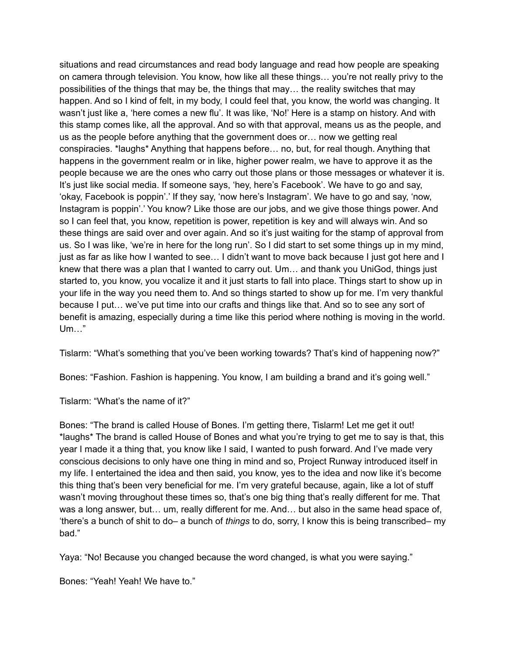situations and read circumstances and read body language and read how people are speaking on camera through television. You know, how like all these things… you're not really privy to the possibilities of the things that may be, the things that may… the reality switches that may happen. And so I kind of felt, in my body, I could feel that, you know, the world was changing. It wasn't just like a, 'here comes a new flu'. It was like, 'No!' Here is a stamp on history. And with this stamp comes like, all the approval. And so with that approval, means us as the people, and us as the people before anything that the government does or… now we getting real conspiracies. \*laughs\* Anything that happens before… no, but, for real though. Anything that happens in the government realm or in like, higher power realm, we have to approve it as the people because we are the ones who carry out those plans or those messages or whatever it is. It's just like social media. If someone says, 'hey, here's Facebook'. We have to go and say, 'okay, Facebook is poppin'.' If they say, 'now here's Instagram'. We have to go and say, 'now, Instagram is poppin'.' You know? Like those are our jobs, and we give those things power. And so I can feel that, you know, repetition is power, repetition is key and will always win. And so these things are said over and over again. And so it's just waiting for the stamp of approval from us. So I was like, 'we're in here for the long run'. So I did start to set some things up in my mind, just as far as like how I wanted to see… I didn't want to move back because I just got here and I knew that there was a plan that I wanted to carry out. Um… and thank you UniGod, things just started to, you know, you vocalize it and it just starts to fall into place. Things start to show up in your life in the way you need them to. And so things started to show up for me. I'm very thankful because I put… we've put time into our crafts and things like that. And so to see any sort of benefit is amazing, especially during a time like this period where nothing is moving in the world. Um…"

Tislarm: "What's something that you've been working towards? That's kind of happening now?"

Bones: "Fashion. Fashion is happening. You know, I am building a brand and it's going well."

Tislarm: "What's the name of it?"

Bones: "The brand is called House of Bones. I'm getting there, Tislarm! Let me get it out! \*laughs\* The brand is called House of Bones and what you're trying to get me to say is that, this year I made it a thing that, you know like I said, I wanted to push forward. And I've made very conscious decisions to only have one thing in mind and so, Project Runway introduced itself in my life. I entertained the idea and then said, you know, yes to the idea and now like it's become this thing that's been very beneficial for me. I'm very grateful because, again, like a lot of stuff wasn't moving throughout these times so, that's one big thing that's really different for me. That was a long answer, but… um, really different for me. And… but also in the same head space of, 'there's a bunch of shit to do– a bunch of *things* to do, sorry, I know this is being transcribed– my bad."

Yaya: "No! Because you changed because the word changed, is what you were saying."

Bones: "Yeah! Yeah! We have to."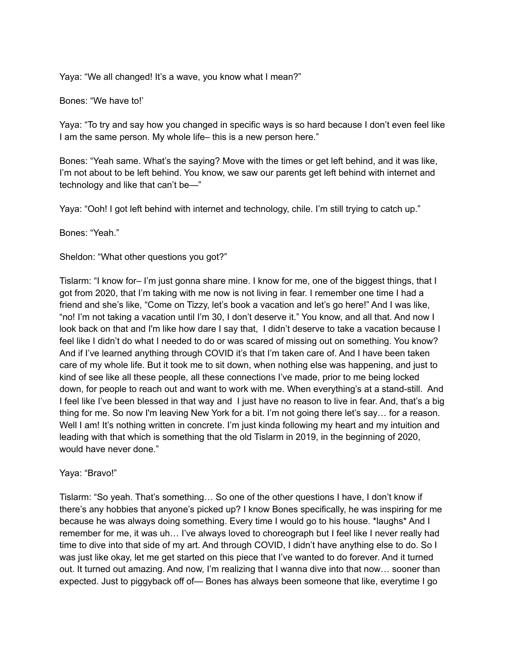Yaya: "We all changed! It's a wave, you know what I mean?"

Bones: "We have to!'

Yaya: "To try and say how you changed in specific ways is so hard because I don't even feel like I am the same person. My whole life– this is a new person here."

Bones: "Yeah same. What's the saying? Move with the times or get left behind, and it was like, I'm not about to be left behind. You know, we saw our parents get left behind with internet and technology and like that can't be—"

Yaya: "Ooh! I got left behind with internet and technology, chile. I'm still trying to catch up."

Bones: "Yeah."

Sheldon: "What other questions you got?"

Tislarm: "I know for– I'm just gonna share mine. I know for me, one of the biggest things, that I got from 2020, that I'm taking with me now is not living in fear. I remember one time I had a friend and she's like, "Come on Tizzy, let's book a vacation and let's go here!" And I was like, "no! I'm not taking a vacation until I'm 30, I don't deserve it." You know, and all that. And now I look back on that and I'm like how dare I say that, I didn't deserve to take a vacation because I feel like I didn't do what I needed to do or was scared of missing out on something. You know? And if I've learned anything through COVID it's that I'm taken care of. And I have been taken care of my whole life. But it took me to sit down, when nothing else was happening, and just to kind of see like all these people, all these connections I've made, prior to me being locked down, for people to reach out and want to work with me. When everything's at a stand-still. And I feel like I've been blessed in that way and I just have no reason to live in fear. And, that's a big thing for me. So now I'm leaving New York for a bit. I'm not going there let's say… for a reason. Well I am! It's nothing written in concrete. I'm just kinda following my heart and my intuition and leading with that which is something that the old Tislarm in 2019, in the beginning of 2020, would have never done."

## Yaya: "Bravo!"

Tislarm: "So yeah. That's something… So one of the other questions I have, I don't know if there's any hobbies that anyone's picked up? I know Bones specifically, he was inspiring for me because he was always doing something. Every time I would go to his house. \*laughs\* And I remember for me, it was uh… I've always loved to choreograph but I feel like I never really had time to dive into that side of my art. And through COVID, I didn't have anything else to do. So I was just like okay, let me get started on this piece that I've wanted to do forever. And it turned out. It turned out amazing. And now, I'm realizing that I wanna dive into that now… sooner than expected. Just to piggyback off of— Bones has always been someone that like, everytime I go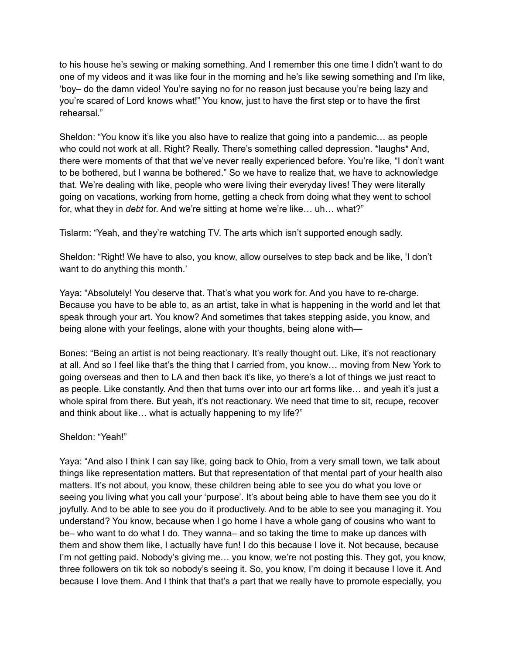to his house he's sewing or making something. And I remember this one time I didn't want to do one of my videos and it was like four in the morning and he's like sewing something and I'm like, 'boy– do the damn video! You're saying no for no reason just because you're being lazy and you're scared of Lord knows what!" You know, just to have the first step or to have the first rehearsal."

Sheldon: "You know it's like you also have to realize that going into a pandemic… as people who could not work at all. Right? Really. There's something called depression. \*laughs\* And, there were moments of that that we've never really experienced before. You're like, "I don't want to be bothered, but I wanna be bothered." So we have to realize that, we have to acknowledge that. We're dealing with like, people who were living their everyday lives! They were literally going on vacations, working from home, getting a check from doing what they went to school for, what they in *debt* for. And we're sitting at home we're like… uh… what?"

Tislarm: "Yeah, and they're watching TV. The arts which isn't supported enough sadly.

Sheldon: "Right! We have to also, you know, allow ourselves to step back and be like, 'I don't want to do anything this month.'

Yaya: "Absolutely! You deserve that. That's what you work for. And you have to re-charge. Because you have to be able to, as an artist, take in what is happening in the world and let that speak through your art. You know? And sometimes that takes stepping aside, you know, and being alone with your feelings, alone with your thoughts, being alone with—

Bones: "Being an artist is not being reactionary. It's really thought out. Like, it's not reactionary at all. And so I feel like that's the thing that I carried from, you know… moving from New York to going overseas and then to LA and then back it's like, yo there's a lot of things we just react to as people. Like constantly. And then that turns over into our art forms like… and yeah it's just a whole spiral from there. But yeah, it's not reactionary. We need that time to sit, recupe, recover and think about like… what is actually happening to my life?"

## Sheldon: "Yeah!"

Yaya: "And also I think I can say like, going back to Ohio, from a very small town, we talk about things like representation matters. But that representation of that mental part of your health also matters. It's not about, you know, these children being able to see you do what you love or seeing you living what you call your 'purpose'. It's about being able to have them see you do it joyfully. And to be able to see you do it productively. And to be able to see you managing it. You understand? You know, because when I go home I have a whole gang of cousins who want to be– who want to do what I do. They wanna– and so taking the time to make up dances with them and show them like, I actually have fun! I do this because I love it. Not because, because I'm not getting paid. Nobody's giving me… you know, we're not posting this. They got, you know, three followers on tik tok so nobody's seeing it. So, you know, I'm doing it because I love it. And because I love them. And I think that that's a part that we really have to promote especially, you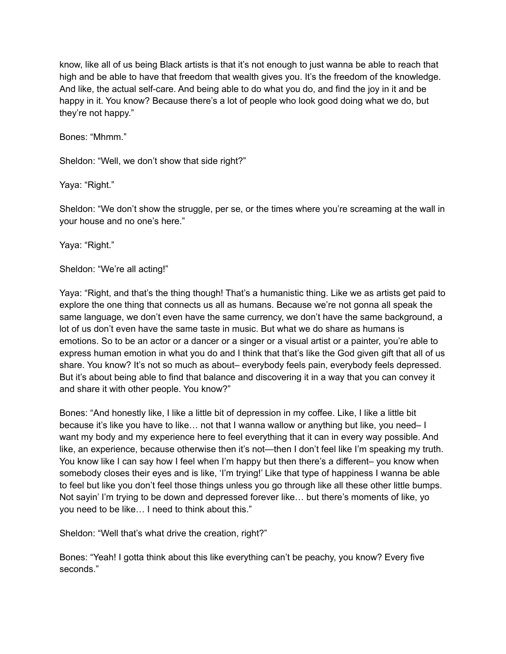know, like all of us being Black artists is that it's not enough to just wanna be able to reach that high and be able to have that freedom that wealth gives you. It's the freedom of the knowledge. And like, the actual self-care. And being able to do what you do, and find the joy in it and be happy in it. You know? Because there's a lot of people who look good doing what we do, but they're not happy."

Bones: "Mhmm."

Sheldon: "Well, we don't show that side right?"

Yaya: "Right."

Sheldon: "We don't show the struggle, per se, or the times where you're screaming at the wall in your house and no one's here."

Yaya: "Right."

Sheldon: "We're all acting!"

Yaya: "Right, and that's the thing though! That's a humanistic thing. Like we as artists get paid to explore the one thing that connects us all as humans. Because we're not gonna all speak the same language, we don't even have the same currency, we don't have the same background, a lot of us don't even have the same taste in music. But what we do share as humans is emotions. So to be an actor or a dancer or a singer or a visual artist or a painter, you're able to express human emotion in what you do and I think that that's like the God given gift that all of us share. You know? It's not so much as about– everybody feels pain, everybody feels depressed. But it's about being able to find that balance and discovering it in a way that you can convey it and share it with other people. You know?"

Bones: "And honestly like, I like a little bit of depression in my coffee. Like, I like a little bit because it's like you have to like… not that I wanna wallow or anything but like, you need– I want my body and my experience here to feel everything that it can in every way possible. And like, an experience, because otherwise then it's not—then I don't feel like I'm speaking my truth. You know like I can say how I feel when I'm happy but then there's a different– you know when somebody closes their eyes and is like, 'I'm trying!' Like that type of happiness I wanna be able to feel but like you don't feel those things unless you go through like all these other little bumps. Not sayin' I'm trying to be down and depressed forever like… but there's moments of like, yo you need to be like… I need to think about this."

Sheldon: "Well that's what drive the creation, right?"

Bones: "Yeah! I gotta think about this like everything can't be peachy, you know? Every five seconds."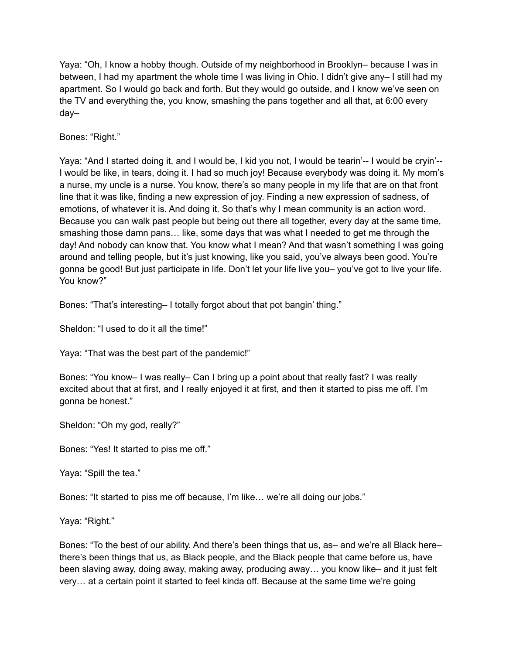Yaya: "Oh, I know a hobby though. Outside of my neighborhood in Brooklyn– because I was in between, I had my apartment the whole time I was living in Ohio. I didn't give any– I still had my apartment. So I would go back and forth. But they would go outside, and I know we've seen on the TV and everything the, you know, smashing the pans together and all that, at 6:00 every day–

Bones: "Right."

Yaya: "And I started doing it, and I would be, I kid you not, I would be tearin'-- I would be cryin'-- I would be like, in tears, doing it. I had so much joy! Because everybody was doing it. My mom's a nurse, my uncle is a nurse. You know, there's so many people in my life that are on that front line that it was like, finding a new expression of joy. Finding a new expression of sadness, of emotions, of whatever it is. And doing it. So that's why I mean community is an action word. Because you can walk past people but being out there all together, every day at the same time, smashing those damn pans… like, some days that was what I needed to get me through the day! And nobody can know that. You know what I mean? And that wasn't something I was going around and telling people, but it's just knowing, like you said, you've always been good. You're gonna be good! But just participate in life. Don't let your life live you– you've got to live your life. You know?"

Bones: "That's interesting– I totally forgot about that pot bangin' thing."

Sheldon: "I used to do it all the time!"

Yaya: "That was the best part of the pandemic!"

Bones: "You know– I was really– Can I bring up a point about that really fast? I was really excited about that at first, and I really enjoyed it at first, and then it started to piss me off. I'm gonna be honest."

Sheldon: "Oh my god, really?"

Bones: "Yes! It started to piss me off."

Yaya: "Spill the tea."

Bones: "It started to piss me off because, I'm like… we're all doing our jobs."

Yaya: "Right."

Bones: "To the best of our ability. And there's been things that us, as– and we're all Black here– there's been things that us, as Black people, and the Black people that came before us, have been slaving away, doing away, making away, producing away… you know like– and it just felt very… at a certain point it started to feel kinda off. Because at the same time we're going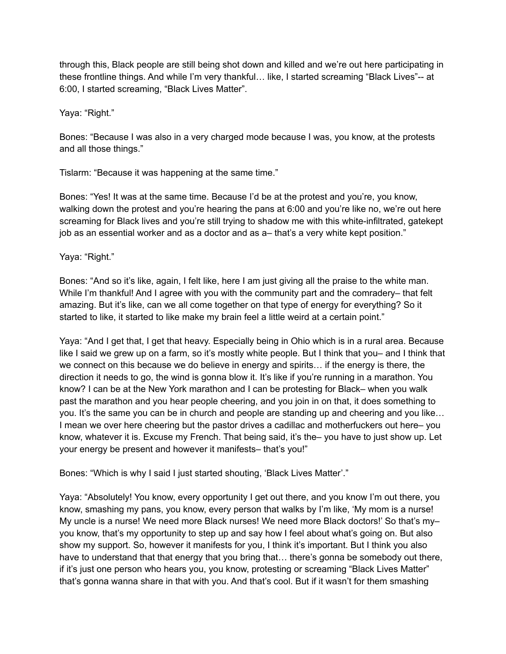through this, Black people are still being shot down and killed and we're out here participating in these frontline things. And while I'm very thankful… like, I started screaming "Black Lives"-- at 6:00, I started screaming, "Black Lives Matter".

Yaya: "Right."

Bones: "Because I was also in a very charged mode because I was, you know, at the protests and all those things."

Tislarm: "Because it was happening at the same time."

Bones: "Yes! It was at the same time. Because I'd be at the protest and you're, you know, walking down the protest and you're hearing the pans at 6:00 and you're like no, we're out here screaming for Black lives and you're still trying to shadow me with this white-infiltrated, gatekept job as an essential worker and as a doctor and as a– that's a very white kept position."

Yaya: "Right."

Bones: "And so it's like, again, I felt like, here I am just giving all the praise to the white man. While I'm thankful! And I agree with you with the community part and the comradery– that felt amazing. But it's like, can we all come together on that type of energy for everything? So it started to like, it started to like make my brain feel a little weird at a certain point."

Yaya: "And I get that, I get that heavy. Especially being in Ohio which is in a rural area. Because like I said we grew up on a farm, so it's mostly white people. But I think that you– and I think that we connect on this because we do believe in energy and spirits… if the energy is there, the direction it needs to go, the wind is gonna blow it. It's like if you're running in a marathon. You know? I can be at the New York marathon and I can be protesting for Black– when you walk past the marathon and you hear people cheering, and you join in on that, it does something to you. It's the same you can be in church and people are standing up and cheering and you like… I mean we over here cheering but the pastor drives a cadillac and motherfuckers out here– you know, whatever it is. Excuse my French. That being said, it's the– you have to just show up. Let your energy be present and however it manifests– that's you!"

Bones: "Which is why I said I just started shouting, 'Black Lives Matter'."

Yaya: "Absolutely! You know, every opportunity I get out there, and you know I'm out there, you know, smashing my pans, you know, every person that walks by I'm like, 'My mom is a nurse! My uncle is a nurse! We need more Black nurses! We need more Black doctors!' So that's my– you know, that's my opportunity to step up and say how I feel about what's going on. But also show my support. So, however it manifests for you, I think it's important. But I think you also have to understand that that energy that you bring that... there's gonna be somebody out there, if it's just one person who hears you, you know, protesting or screaming "Black Lives Matter" that's gonna wanna share in that with you. And that's cool. But if it wasn't for them smashing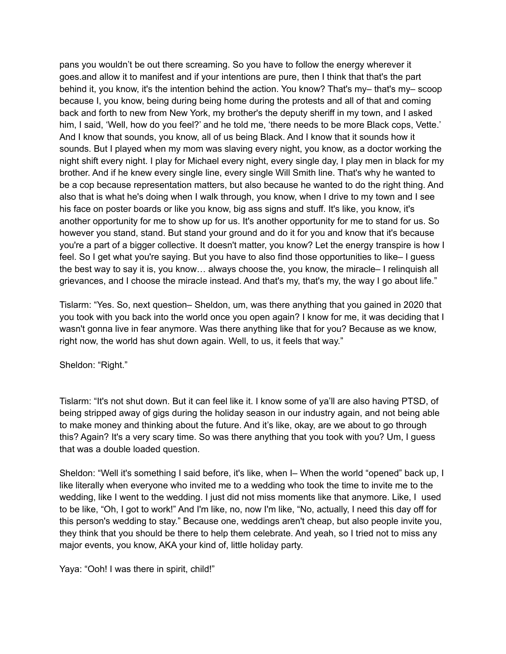pans you wouldn't be out there screaming. So you have to follow the energy wherever it goes.and allow it to manifest and if your intentions are pure, then I think that that's the part behind it, you know, it's the intention behind the action. You know? That's my– that's my– scoop because I, you know, being during being home during the protests and all of that and coming back and forth to new from New York, my brother's the deputy sheriff in my town, and I asked him, I said, 'Well, how do you feel?' and he told me, 'there needs to be more Black cops, Vette.' And I know that sounds, you know, all of us being Black. And I know that it sounds how it sounds. But I played when my mom was slaving every night, you know, as a doctor working the night shift every night. I play for Michael every night, every single day, I play men in black for my brother. And if he knew every single line, every single Will Smith line. That's why he wanted to be a cop because representation matters, but also because he wanted to do the right thing. And also that is what he's doing when I walk through, you know, when I drive to my town and I see his face on poster boards or like you know, big ass signs and stuff. It's like, you know, it's another opportunity for me to show up for us. It's another opportunity for me to stand for us. So however you stand, stand. But stand your ground and do it for you and know that it's because you're a part of a bigger collective. It doesn't matter, you know? Let the energy transpire is how I feel. So I get what you're saying. But you have to also find those opportunities to like– I guess the best way to say it is, you know… always choose the, you know, the miracle– I relinquish all grievances, and I choose the miracle instead. And that's my, that's my, the way I go about life."

Tislarm: "Yes. So, next question– Sheldon, um, was there anything that you gained in 2020 that you took with you back into the world once you open again? I know for me, it was deciding that I wasn't gonna live in fear anymore. Was there anything like that for you? Because as we know, right now, the world has shut down again. Well, to us, it feels that way."

Sheldon: "Right."

Tislarm: "It's not shut down. But it can feel like it. I know some of ya'll are also having PTSD, of being stripped away of gigs during the holiday season in our industry again, and not being able to make money and thinking about the future. And it's like, okay, are we about to go through this? Again? It's a very scary time. So was there anything that you took with you? Um, I guess that was a double loaded question.

Sheldon: "Well it's something I said before, it's like, when I– When the world "opened" back up, I like literally when everyone who invited me to a wedding who took the time to invite me to the wedding, like I went to the wedding. I just did not miss moments like that anymore. Like, I used to be like, "Oh, I got to work!" And I'm like, no, now I'm like, "No, actually, I need this day off for this person's wedding to stay." Because one, weddings aren't cheap, but also people invite you, they think that you should be there to help them celebrate. And yeah, so I tried not to miss any major events, you know, AKA your kind of, little holiday party.

Yaya: "Ooh! I was there in spirit, child!"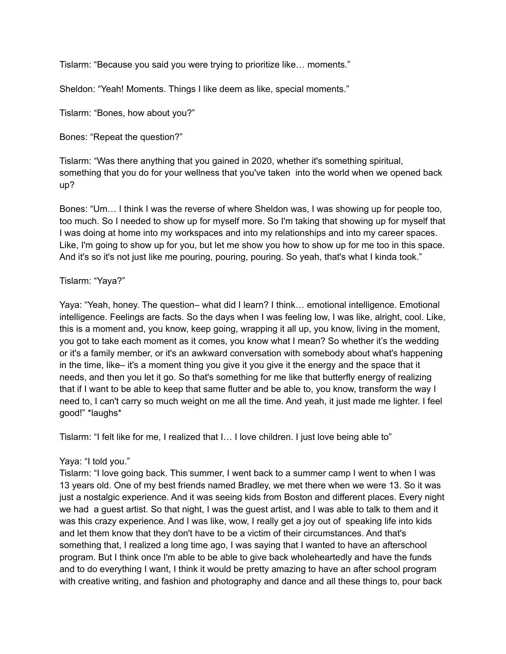Tislarm: "Because you said you were trying to prioritize like… moments."

Sheldon: "Yeah! Moments. Things I like deem as like, special moments."

Tislarm: "Bones, how about you?"

Bones: "Repeat the question?"

Tislarm: "Was there anything that you gained in 2020, whether it's something spiritual, something that you do for your wellness that you've taken into the world when we opened back up?

Bones: "Um… I think I was the reverse of where Sheldon was, I was showing up for people too, too much. So I needed to show up for myself more. So I'm taking that showing up for myself that I was doing at home into my workspaces and into my relationships and into my career spaces. Like, I'm going to show up for you, but let me show you how to show up for me too in this space. And it's so it's not just like me pouring, pouring, pouring. So yeah, that's what I kinda took."

## Tislarm: "Yaya?"

Yaya: "Yeah, honey. The question– what did I learn? I think… emotional intelligence. Emotional intelligence. Feelings are facts. So the days when I was feeling low, I was like, alright, cool. Like, this is a moment and, you know, keep going, wrapping it all up, you know, living in the moment, you got to take each moment as it comes, you know what I mean? So whether it's the wedding or it's a family member, or it's an awkward conversation with somebody about what's happening in the time, like– it's a moment thing you give it you give it the energy and the space that it needs, and then you let it go. So that's something for me like that butterfly energy of realizing that if I want to be able to keep that same flutter and be able to, you know, transform the way I need to, I can't carry so much weight on me all the time. And yeah, it just made me lighter. I feel good!" \*laughs\*

Tislarm: "I felt like for me, I realized that I… I love children. I just love being able to"

# Yaya: "I told you."

Tislarm: "I love going back. This summer, I went back to a summer camp I went to when I was 13 years old. One of my best friends named Bradley, we met there when we were 13. So it was just a nostalgic experience. And it was seeing kids from Boston and different places. Every night we had a guest artist. So that night, I was the guest artist, and I was able to talk to them and it was this crazy experience. And I was like, wow, I really get a joy out of speaking life into kids and let them know that they don't have to be a victim of their circumstances. And that's something that, I realized a long time ago, I was saying that I wanted to have an afterschool program. But I think once I'm able to be able to give back wholeheartedly and have the funds and to do everything I want, I think it would be pretty amazing to have an after school program with creative writing, and fashion and photography and dance and all these things to, pour back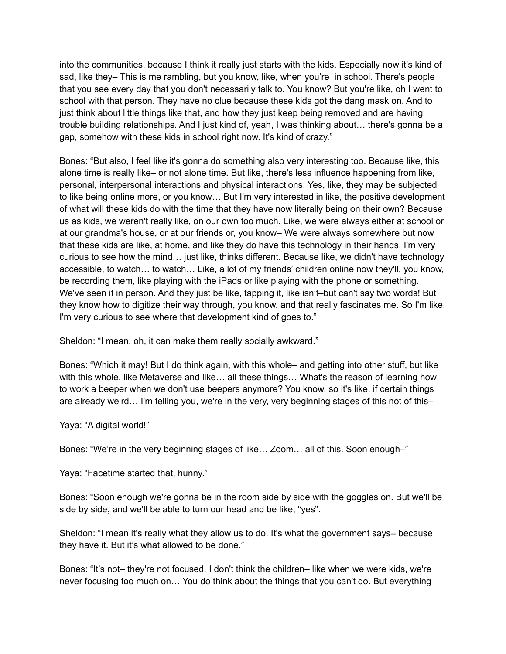into the communities, because I think it really just starts with the kids. Especially now it's kind of sad, like they– This is me rambling, but you know, like, when you're in school. There's people that you see every day that you don't necessarily talk to. You know? But you're like, oh I went to school with that person. They have no clue because these kids got the dang mask on. And to just think about little things like that, and how they just keep being removed and are having trouble building relationships. And I just kind of, yeah, I was thinking about… there's gonna be a gap, somehow with these kids in school right now. It's kind of crazy."

Bones: "But also, I feel like it's gonna do something also very interesting too. Because like, this alone time is really like– or not alone time. But like, there's less influence happening from like, personal, interpersonal interactions and physical interactions. Yes, like, they may be subjected to like being online more, or you know… But I'm very interested in like, the positive development of what will these kids do with the time that they have now literally being on their own? Because us as kids, we weren't really like, on our own too much. Like, we were always either at school or at our grandma's house, or at our friends or, you know– We were always somewhere but now that these kids are like, at home, and like they do have this technology in their hands. I'm very curious to see how the mind… just like, thinks different. Because like, we didn't have technology accessible, to watch… to watch… Like, a lot of my friends' children online now they'll, you know, be recording them, like playing with the iPads or like playing with the phone or something. We've seen it in person. And they just be like, tapping it, like isn't–but can't say two words! But they know how to digitize their way through, you know, and that really fascinates me. So I'm like, I'm very curious to see where that development kind of goes to."

Sheldon: "I mean, oh, it can make them really socially awkward."

Bones: "Which it may! But I do think again, with this whole– and getting into other stuff, but like with this whole, like Metaverse and like... all these things... What's the reason of learning how to work a beeper when we don't use beepers anymore? You know, so it's like, if certain things are already weird… I'm telling you, we're in the very, very beginning stages of this not of this–

Yaya: "A digital world!"

Bones: "We're in the very beginning stages of like… Zoom… all of this. Soon enough–"

Yaya: "Facetime started that, hunny."

Bones: "Soon enough we're gonna be in the room side by side with the goggles on. But we'll be side by side, and we'll be able to turn our head and be like, "yes".

Sheldon: "I mean it's really what they allow us to do. It's what the government says– because they have it. But it's what allowed to be done."

Bones: "It's not– they're not focused. I don't think the children– like when we were kids, we're never focusing too much on… You do think about the things that you can't do. But everything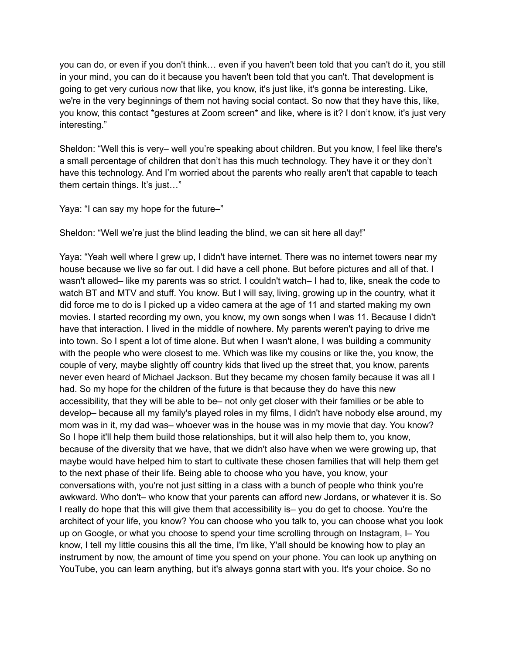you can do, or even if you don't think… even if you haven't been told that you can't do it, you still in your mind, you can do it because you haven't been told that you can't. That development is going to get very curious now that like, you know, it's just like, it's gonna be interesting. Like, we're in the very beginnings of them not having social contact. So now that they have this, like, you know, this contact \*gestures at Zoom screen\* and like, where is it? I don't know, it's just very interesting."

Sheldon: "Well this is very– well you're speaking about children. But you know, I feel like there's a small percentage of children that don't has this much technology. They have it or they don't have this technology. And I'm worried about the parents who really aren't that capable to teach them certain things. It's just…"

Yaya: "I can say my hope for the future-"

Sheldon: "Well we're just the blind leading the blind, we can sit here all day!"

Yaya: "Yeah well where I grew up, I didn't have internet. There was no internet towers near my house because we live so far out. I did have a cell phone. But before pictures and all of that. I wasn't allowed– like my parents was so strict. I couldn't watch– I had to, like, sneak the code to watch BT and MTV and stuff. You know. But I will say, living, growing up in the country, what it did force me to do is I picked up a video camera at the age of 11 and started making my own movies. I started recording my own, you know, my own songs when I was 11. Because I didn't have that interaction. I lived in the middle of nowhere. My parents weren't paying to drive me into town. So I spent a lot of time alone. But when I wasn't alone, I was building a community with the people who were closest to me. Which was like my cousins or like the, you know, the couple of very, maybe slightly off country kids that lived up the street that, you know, parents never even heard of Michael Jackson. But they became my chosen family because it was all I had. So my hope for the children of the future is that because they do have this new accessibility, that they will be able to be– not only get closer with their families or be able to develop– because all my family's played roles in my films, I didn't have nobody else around, my mom was in it, my dad was– whoever was in the house was in my movie that day. You know? So I hope it'll help them build those relationships, but it will also help them to, you know, because of the diversity that we have, that we didn't also have when we were growing up, that maybe would have helped him to start to cultivate these chosen families that will help them get to the next phase of their life. Being able to choose who you have, you know, your conversations with, you're not just sitting in a class with a bunch of people who think you're awkward. Who don't– who know that your parents can afford new Jordans, or whatever it is. So I really do hope that this will give them that accessibility is– you do get to choose. You're the architect of your life, you know? You can choose who you talk to, you can choose what you look up on Google, or what you choose to spend your time scrolling through on Instagram, I– You know, I tell my little cousins this all the time, I'm like, Y'all should be knowing how to play an instrument by now, the amount of time you spend on your phone. You can look up anything on YouTube, you can learn anything, but it's always gonna start with you. It's your choice. So no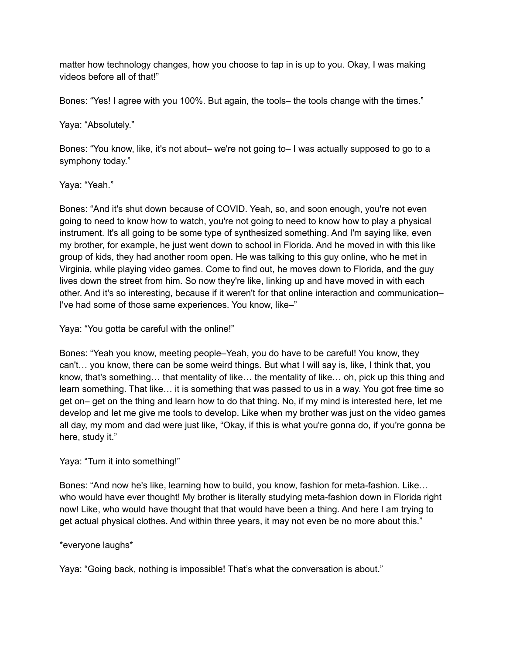matter how technology changes, how you choose to tap in is up to you. Okay, I was making videos before all of that!"

Bones: "Yes! I agree with you 100%. But again, the tools– the tools change with the times."

## Yaya: "Absolutely."

Bones: "You know, like, it's not about– we're not going to– I was actually supposed to go to a symphony today."

#### Yaya: "Yeah."

Bones: "And it's shut down because of COVID. Yeah, so, and soon enough, you're not even going to need to know how to watch, you're not going to need to know how to play a physical instrument. It's all going to be some type of synthesized something. And I'm saying like, even my brother, for example, he just went down to school in Florida. And he moved in with this like group of kids, they had another room open. He was talking to this guy online, who he met in Virginia, while playing video games. Come to find out, he moves down to Florida, and the guy lives down the street from him. So now they're like, linking up and have moved in with each other. And it's so interesting, because if it weren't for that online interaction and communication– I've had some of those same experiences. You know, like–"

Yaya: "You gotta be careful with the online!"

Bones: "Yeah you know, meeting people–Yeah, you do have to be careful! You know, they can't… you know, there can be some weird things. But what I will say is, like, I think that, you know, that's something… that mentality of like… the mentality of like… oh, pick up this thing and learn something. That like… it is something that was passed to us in a way. You got free time so get on– get on the thing and learn how to do that thing. No, if my mind is interested here, let me develop and let me give me tools to develop. Like when my brother was just on the video games all day, my mom and dad were just like, "Okay, if this is what you're gonna do, if you're gonna be here, study it."

## Yaya: "Turn it into something!"

Bones: "And now he's like, learning how to build, you know, fashion for meta-fashion. Like… who would have ever thought! My brother is literally studying meta-fashion down in Florida right now! Like, who would have thought that that would have been a thing. And here I am trying to get actual physical clothes. And within three years, it may not even be no more about this."

## \*everyone laughs\*

Yaya: "Going back, nothing is impossible! That's what the conversation is about."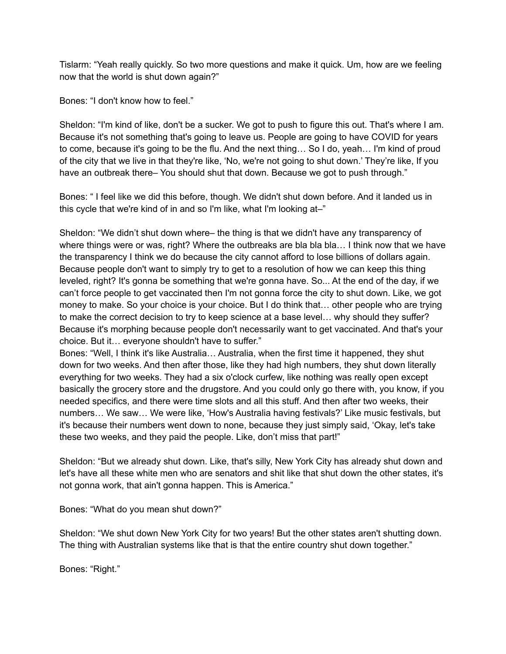Tislarm: "Yeah really quickly. So two more questions and make it quick. Um, how are we feeling now that the world is shut down again?"

Bones: "I don't know how to feel."

Sheldon: "I'm kind of like, don't be a sucker. We got to push to figure this out. That's where I am. Because it's not something that's going to leave us. People are going to have COVID for years to come, because it's going to be the flu. And the next thing… So I do, yeah… I'm kind of proud of the city that we live in that they're like, 'No, we're not going to shut down.' They're like, If you have an outbreak there– You should shut that down. Because we got to push through."

Bones: " I feel like we did this before, though. We didn't shut down before. And it landed us in this cycle that we're kind of in and so I'm like, what I'm looking at–"

Sheldon: "We didn't shut down where– the thing is that we didn't have any transparency of where things were or was, right? Where the outbreaks are bla bla bla... I think now that we have the transparency I think we do because the city cannot afford to lose billions of dollars again. Because people don't want to simply try to get to a resolution of how we can keep this thing leveled, right? It's gonna be something that we're gonna have. So... At the end of the day, if we can't force people to get vaccinated then I'm not gonna force the city to shut down. Like, we got money to make. So your choice is your choice. But I do think that… other people who are trying to make the correct decision to try to keep science at a base level… why should they suffer? Because it's morphing because people don't necessarily want to get vaccinated. And that's your choice. But it… everyone shouldn't have to suffer."

Bones: "Well, I think it's like Australia… Australia, when the first time it happened, they shut down for two weeks. And then after those, like they had high numbers, they shut down literally everything for two weeks. They had a six o'clock curfew, like nothing was really open except basically the grocery store and the drugstore. And you could only go there with, you know, if you needed specifics, and there were time slots and all this stuff. And then after two weeks, their numbers… We saw… We were like, 'How's Australia having festivals?' Like music festivals, but it's because their numbers went down to none, because they just simply said, 'Okay, let's take these two weeks, and they paid the people. Like, don't miss that part!"

Sheldon: "But we already shut down. Like, that's silly, New York City has already shut down and let's have all these white men who are senators and shit like that shut down the other states, it's not gonna work, that ain't gonna happen. This is America."

Bones: "What do you mean shut down?"

Sheldon: "We shut down New York City for two years! But the other states aren't shutting down. The thing with Australian systems like that is that the entire country shut down together."

Bones: "Right."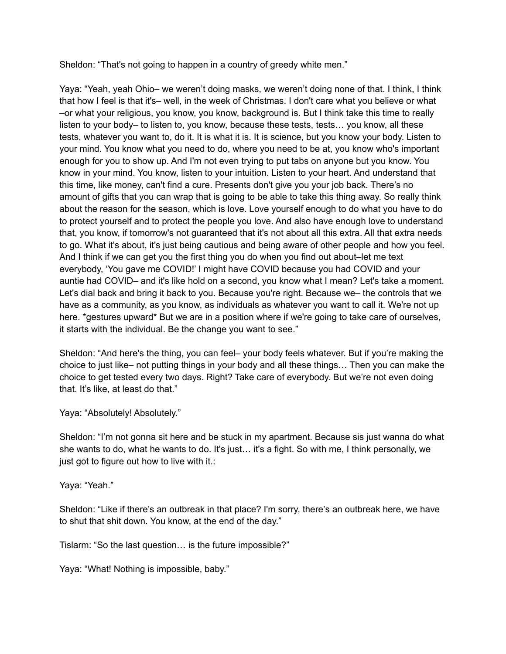Sheldon: "That's not going to happen in a country of greedy white men."

Yaya: "Yeah, yeah Ohio– we weren't doing masks, we weren't doing none of that. I think, I think that how I feel is that it's– well, in the week of Christmas. I don't care what you believe or what –or what your religious, you know, you know, background is. But I think take this time to really listen to your body– to listen to, you know, because these tests, tests… you know, all these tests, whatever you want to, do it. It is what it is. It is science, but you know your body. Listen to your mind. You know what you need to do, where you need to be at, you know who's important enough for you to show up. And I'm not even trying to put tabs on anyone but you know. You know in your mind. You know, listen to your intuition. Listen to your heart. And understand that this time, like money, can't find a cure. Presents don't give you your job back. There's no amount of gifts that you can wrap that is going to be able to take this thing away. So really think about the reason for the season, which is love. Love yourself enough to do what you have to do to protect yourself and to protect the people you love. And also have enough love to understand that, you know, if tomorrow's not guaranteed that it's not about all this extra. All that extra needs to go. What it's about, it's just being cautious and being aware of other people and how you feel. And I think if we can get you the first thing you do when you find out about–let me text everybody, 'You gave me COVID!' I might have COVID because you had COVID and your auntie had COVID– and it's like hold on a second, you know what I mean? Let's take a moment. Let's dial back and bring it back to you. Because you're right. Because we– the controls that we have as a community, as you know, as individuals as whatever you want to call it. We're not up here. \*gestures upward\* But we are in a position where if we're going to take care of ourselves, it starts with the individual. Be the change you want to see."

Sheldon: "And here's the thing, you can feel– your body feels whatever. But if you're making the choice to just like– not putting things in your body and all these things… Then you can make the choice to get tested every two days. Right? Take care of everybody. But we're not even doing that. It's like, at least do that."

Yaya: "Absolutely! Absolutely."

Sheldon: "I'm not gonna sit here and be stuck in my apartment. Because sis just wanna do what she wants to do, what he wants to do. It's just… it's a fight. So with me, I think personally, we just got to figure out how to live with it.:

Yaya: "Yeah."

Sheldon: "Like if there's an outbreak in that place? I'm sorry, there's an outbreak here, we have to shut that shit down. You know, at the end of the day."

Tislarm: "So the last question… is the future impossible?"

Yaya: "What! Nothing is impossible, baby."